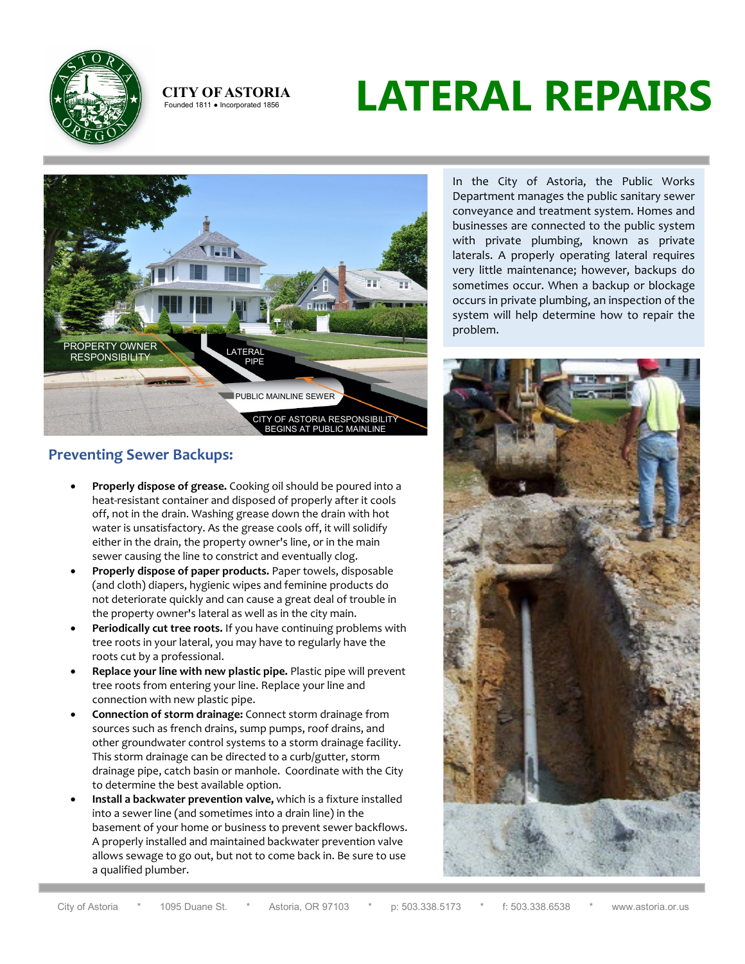

### **CITY OF ASTORIA**<br>Founded 1811 • Incorporated 1856

# **LATERAL REPAIRS**



### **Preventing Sewer Backups:**

- **Properly dispose of grease.** Cooking oil should be poured into a heat-resistant container and disposed of properly after it cools off, not in the drain. Washing grease down the drain with hot water is unsatisfactory. As the grease cools off, it will solidify either in the drain, the property owner's line, or in the main sewer causing the line to constrict and eventually clog.
- **Properly dispose of paper products.** Paper towels, disposable (and cloth) diapers, hygienic wipes and feminine products do not deteriorate quickly and can cause a great deal of trouble in the property owner's lateral as well as in the city main.
- **Periodically cut tree roots.** If you have continuing problems with tree roots in your lateral, you may have to regularly have the roots cut by a professional.
- **Replace your line with new plastic pipe.** Plastic pipe will prevent tree roots from entering your line. Replace your line and connection with new plastic pipe.
- **Connection of storm drainage:** Connect storm drainage from sources such as french drains, sump pumps, roof drains, and other groundwater control systems to a storm drainage facility. This storm drainage can be directed to a curb/gutter, storm drainage pipe, catch basin or manhole. Coordinate with the City to determine the best available option.
- **Install a backwater prevention valve,** which is a fixture installed into a sewer line (and sometimes into a drain line) in the basement of your home or business to prevent sewer backflows. A properly installed and maintained backwater prevention valve allows sewage to go out, but not to come back in. Be sure to use a qualified plumber.

In the City of Astoria, the Public Works Department manages the public sanitary sewer conveyance and treatment system. Homes and businesses are connected to the public system with private plumbing, known as private laterals. A properly operating lateral requires very little maintenance; however, backups do sometimes occur. When a backup or blockage occurs in private plumbing, an inspection of the system will help determine how to repair the problem.